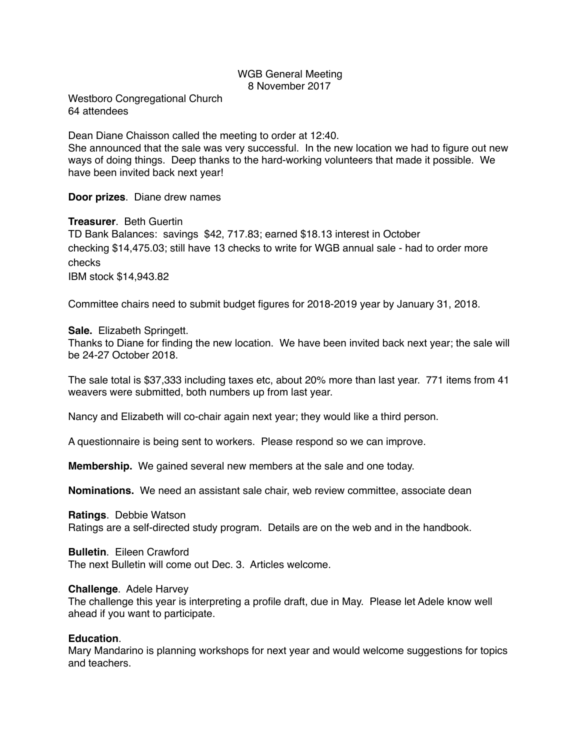## WGB General Meeting 8 November 2017

Westboro Congregational Church 64 attendees

Dean Diane Chaisson called the meeting to order at 12:40.

She announced that the sale was very successful. In the new location we had to figure out new ways of doing things. Deep thanks to the hard-working volunteers that made it possible. We have been invited back next year!

**Door prizes**. Diane drew names

**Treasurer**. Beth Guertin

TD Bank Balances: savings \$42, 717.83; earned \$18.13 interest in October checking \$14,475.03; still have 13 checks to write for WGB annual sale - had to order more checks

IBM stock \$14,943.82

Committee chairs need to submit budget figures for 2018-2019 year by January 31, 2018.

## **Sale.** Elizabeth Springett.

Thanks to Diane for finding the new location. We have been invited back next year; the sale will be 24-27 October 2018.

The sale total is \$37,333 including taxes etc, about 20% more than last year. 771 items from 41 weavers were submitted, both numbers up from last year.

Nancy and Elizabeth will co-chair again next year; they would like a third person.

A questionnaire is being sent to workers. Please respond so we can improve.

**Membership.** We gained several new members at the sale and one today.

**Nominations.** We need an assistant sale chair, web review committee, associate dean

**Ratings**. Debbie Watson Ratings are a self-directed study program. Details are on the web and in the handbook.

**Bulletin**. Eileen Crawford The next Bulletin will come out Dec. 3. Articles welcome.

**Challenge**. Adele Harvey

The challenge this year is interpreting a profile draft, due in May. Please let Adele know well ahead if you want to participate.

## **Education**.

Mary Mandarino is planning workshops for next year and would welcome suggestions for topics and teachers.